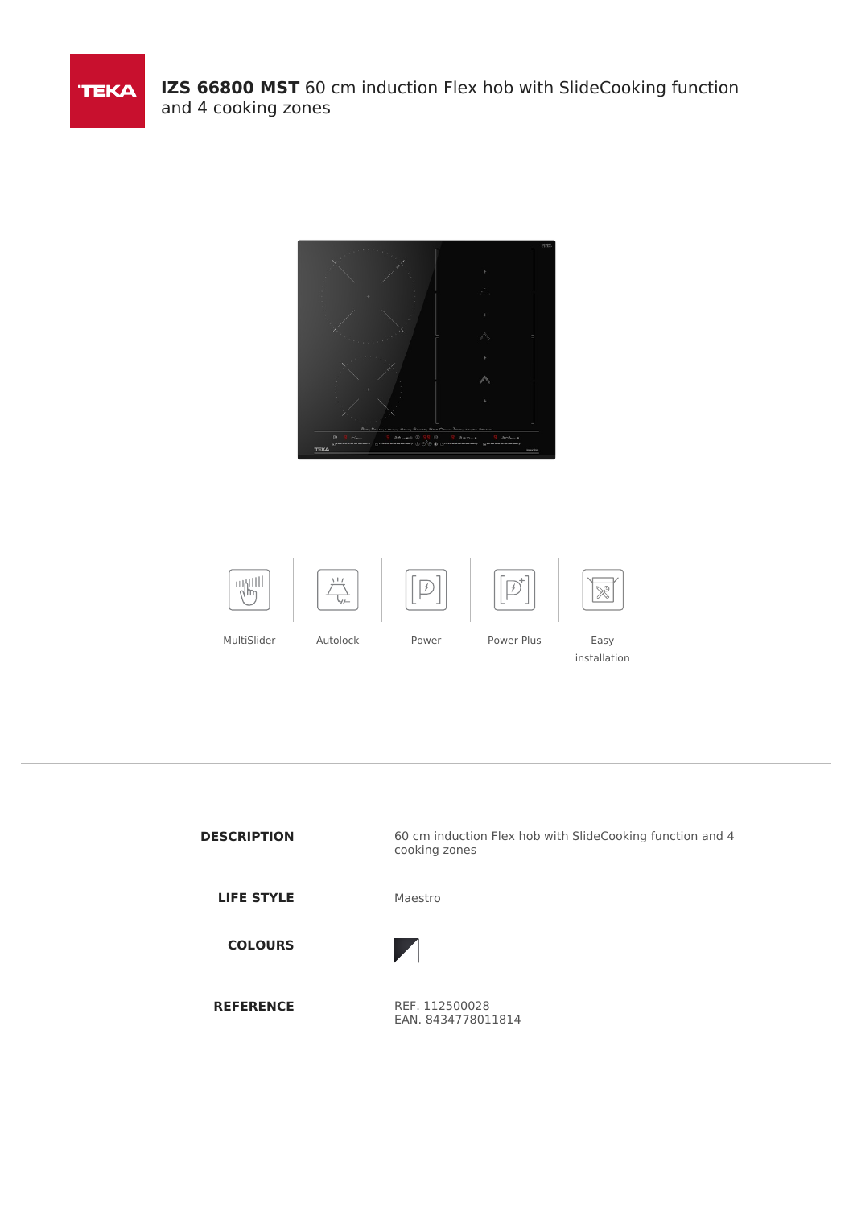





installation



**DESCRIPTION** 60 cm induction Flex hob with SlideCooking function and 4 cooking zones



EAN. 8434778011814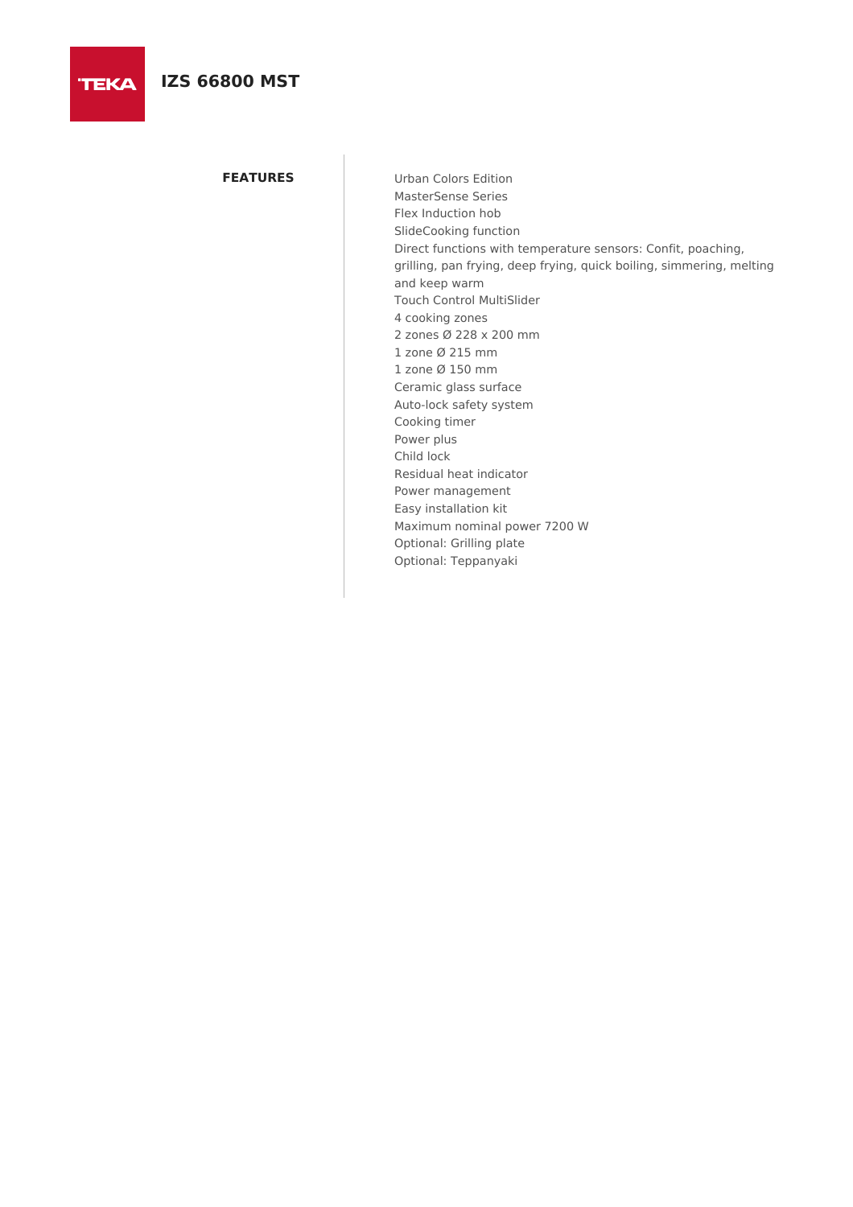**TEKA** 

**FEATURES** Urban Colors Edition MasterSense Series Flex Induction hob SlideCooking function Direct functions with temperature sensors: Confit, poaching, grilling, pan frying, deep frying, quick boiling, simmering, melting and keep warm Touch Control MultiSlider 4 cooking zones 2 zones Ø 228 x 200 mm 1 zone Ø 215 mm 1 zone Ø 150 mm Ceramic glass surface Auto-lock safety system Cooking timer Power plus Child lock Residual heat indicator Power management Easy installation kit Maximum nominal power 7200 W Optional: Grilling plate Optional: Teppanyaki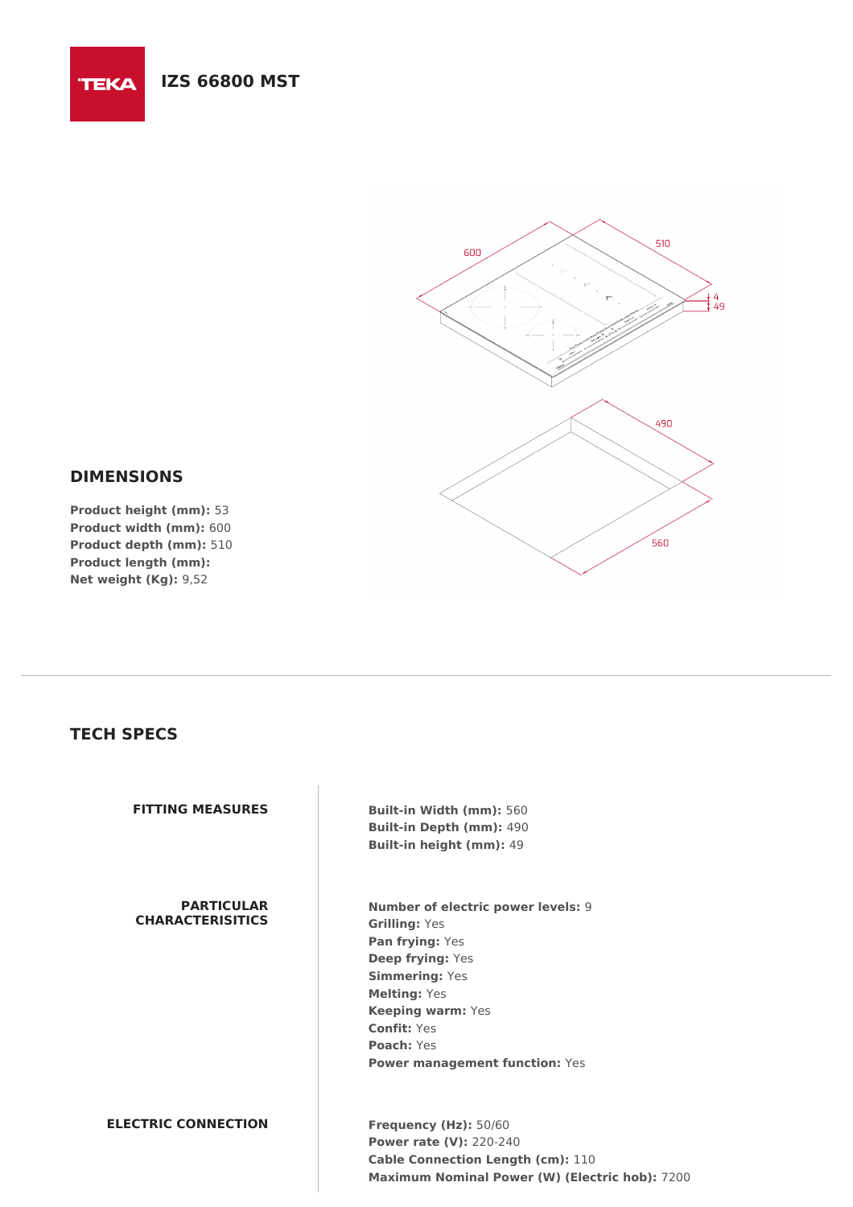# **IZS 66800 MST**



## **DIMENSIONS**

**TEKA** 

**Product height (mm):** 53 **Product width (mm):** 600 **Product depth (mm):** 510 **Product length (mm): Net weight (Kg):** 9,52

## **TECH SPECS**

**PARTICULAR CHARACTERISITICS**

**FITTING MEASURES Built-in Width (mm):** 560 **Built-in Depth (mm):** 490 **Built-in height (mm):** 49

> **Number of electric power levels:** 9 **Grilling:** Yes **Pan frying:** Yes **Deep frying:** Yes **Simmering:** Yes **Melting:** Yes **Keeping warm:** Yes **Confit:** Yes **Poach:** Yes **Power management function:** Yes

**ELECTRIC CONNECTION Frequency (Hz):** 50/60

**Power rate (V):** 220-240 **Cable Connection Length (cm):** 110 **Maximum Nominal Power (W) (Electric hob):** 7200